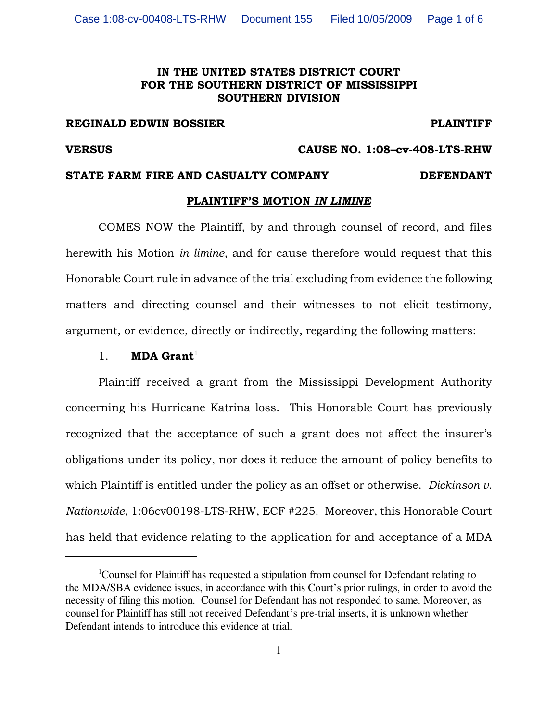## IN THE UNITED STATES DISTRICT COURT FOR THE SOUTHERN DISTRICT OF MISSISSIPPI SOUTHERN DIVISION

#### REGINALD EDWIN BOSSIER **PLAINTIFF**

VERSUS CAUSE NO. 1:08–cv-408-LTS-RHW

## STATE FARM FIRE AND CASUALTY COMPANY DEFENDANT

## PLAINTIFF'S MOTION IN LIMINE

COMES NOW the Plaintiff, by and through counsel of record, and files herewith his Motion in limine, and for cause therefore would request that this Honorable Court rule in advance of the trial excluding from evidence the following matters and directing counsel and their witnesses to not elicit testimony, argument, or evidence, directly or indirectly, regarding the following matters:

### 1. **MDA Grant**<sup>1</sup>

Plaintiff received a grant from the Mississippi Development Authority concerning his Hurricane Katrina loss. This Honorable Court has previously recognized that the acceptance of such a grant does not affect the insurer's obligations under its policy, nor does it reduce the amount of policy benefits to which Plaintiff is entitled under the policy as an offset or otherwise. Dickinson  $v$ . Nationwide, 1:06cv00198-LTS-RHW, ECF #225. Moreover, this Honorable Court has held that evidence relating to the application for and acceptance of a MDA

<sup>&</sup>lt;sup>1</sup>Counsel for Plaintiff has requested a stipulation from counsel for Defendant relating to the MDA/SBA evidence issues, in accordance with this Court's prior rulings, in order to avoid the necessity of filing this motion. Counsel for Defendant has not responded to same. Moreover, as counsel for Plaintiff has still not received Defendant's pre-trial inserts, it is unknown whether Defendant intends to introduce this evidence at trial.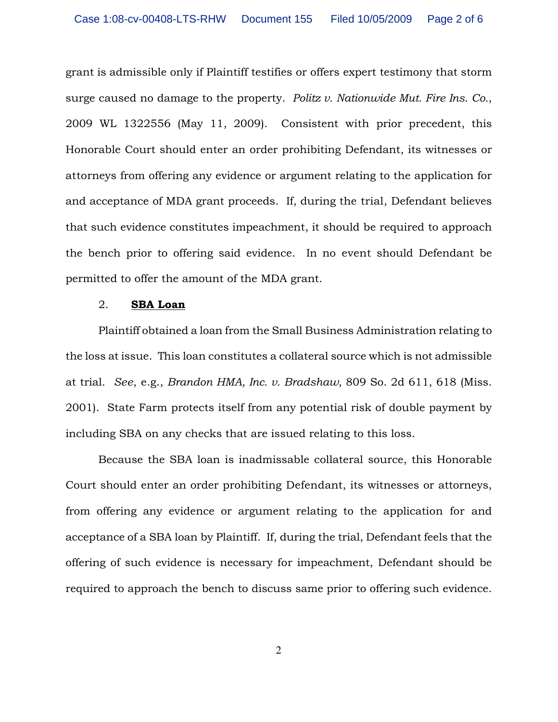grant is admissible only if Plaintiff testifies or offers expert testimony that storm surge caused no damage to the property. Politz  $v$ . Nationwide Mut. Fire Ins. Co., 2009 WL 1322556 (May 11, 2009). Consistent with prior precedent, this Honorable Court should enter an order prohibiting Defendant, its witnesses or attorneys from offering any evidence or argument relating to the application for and acceptance of MDA grant proceeds. If, during the trial, Defendant believes that such evidence constitutes impeachment, it should be required to approach the bench prior to offering said evidence. In no event should Defendant be permitted to offer the amount of the MDA grant.

#### 2. SBA Loan

Plaintiff obtained a loan from the Small Business Administration relating to the loss at issue. This loan constitutes a collateral source which is not admissible at trial. See, e.g., Brandon HMA, Inc. v. Bradshaw, 809 So. 2d 611, 618 (Miss. 2001). State Farm protects itself from any potential risk of double payment by including SBA on any checks that are issued relating to this loss.

Because the SBA loan is inadmissable collateral source, this Honorable Court should enter an order prohibiting Defendant, its witnesses or attorneys, from offering any evidence or argument relating to the application for and acceptance of a SBA loan by Plaintiff. If, during the trial, Defendant feels that the offering of such evidence is necessary for impeachment, Defendant should be required to approach the bench to discuss same prior to offering such evidence.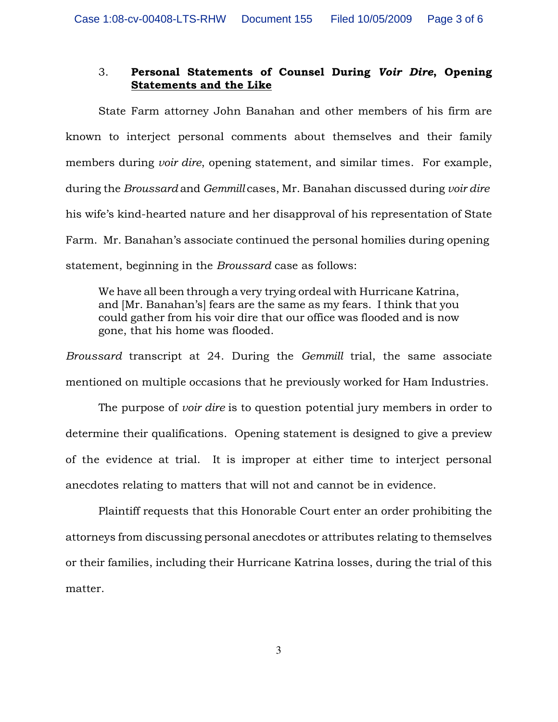## 3. Personal Statements of Counsel During Voir Dire, Opening Statements and the Like

State Farm attorney John Banahan and other members of his firm are known to interject personal comments about themselves and their family members during *voir dire*, opening statement, and similar times. For example, during the Broussard and Gemmill cases, Mr. Banahan discussed during voir dire his wife's kind-hearted nature and her disapproval of his representation of State Farm. Mr. Banahan's associate continued the personal homilies during opening statement, beginning in the Broussard case as follows:

We have all been through a very trying ordeal with Hurricane Katrina, and [Mr. Banahan's] fears are the same as my fears. I think that you could gather from his voir dire that our office was flooded and is now gone, that his home was flooded.

Broussard transcript at 24. During the Gemmill trial, the same associate mentioned on multiple occasions that he previously worked for Ham Industries.

The purpose of *voir dire* is to question potential jury members in order to determine their qualifications. Opening statement is designed to give a preview of the evidence at trial. It is improper at either time to interject personal anecdotes relating to matters that will not and cannot be in evidence.

Plaintiff requests that this Honorable Court enter an order prohibiting the attorneys from discussing personal anecdotes or attributes relating to themselves or their families, including their Hurricane Katrina losses, during the trial of this matter.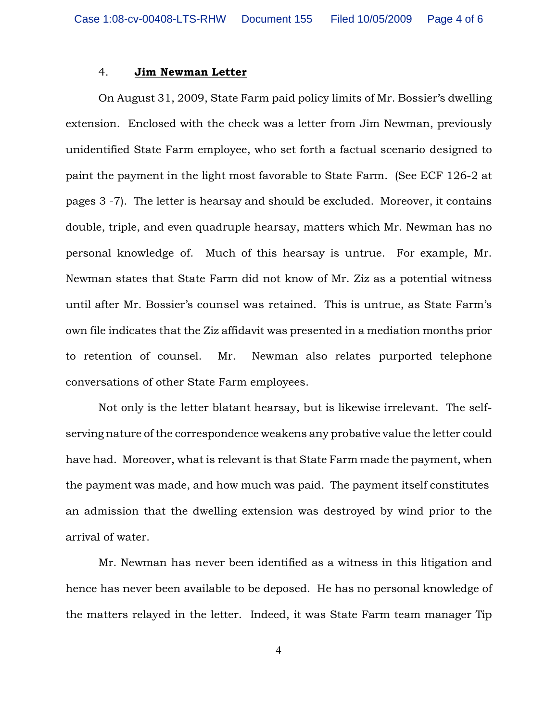### 4. Jim Newman Letter

On August 31, 2009, State Farm paid policy limits of Mr. Bossier's dwelling extension. Enclosed with the check was a letter from Jim Newman, previously unidentified State Farm employee, who set forth a factual scenario designed to paint the payment in the light most favorable to State Farm. (See ECF 126-2 at pages 3 -7). The letter is hearsay and should be excluded. Moreover, it contains double, triple, and even quadruple hearsay, matters which Mr. Newman has no personal knowledge of. Much of this hearsay is untrue. For example, Mr. Newman states that State Farm did not know of Mr. Ziz as a potential witness until after Mr. Bossier's counsel was retained. This is untrue, as State Farm's own file indicates that the Ziz affidavit was presented in a mediation months prior to retention of counsel. Mr. Newman also relates purported telephone conversations of other State Farm employees.

Not only is the letter blatant hearsay, but is likewise irrelevant. The selfserving nature of the correspondence weakens any probative value the letter could have had. Moreover, what is relevant is that State Farm made the payment, when the payment was made, and how much was paid. The payment itself constitutes an admission that the dwelling extension was destroyed by wind prior to the arrival of water.

Mr. Newman has never been identified as a witness in this litigation and hence has never been available to be deposed. He has no personal knowledge of the matters relayed in the letter. Indeed, it was State Farm team manager Tip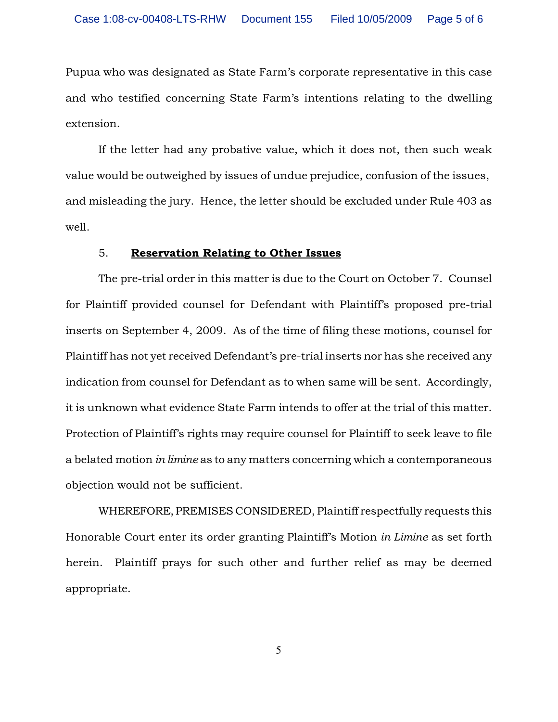Pupua who was designated as State Farm's corporate representative in this case and who testified concerning State Farm's intentions relating to the dwelling extension.

If the letter had any probative value, which it does not, then such weak value would be outweighed by issues of undue prejudice, confusion of the issues, and misleading the jury. Hence, the letter should be excluded under Rule 403 as well.

#### 5. Reservation Relating to Other Issues

The pre-trial order in this matter is due to the Court on October 7. Counsel for Plaintiff provided counsel for Defendant with Plaintiff's proposed pre-trial inserts on September 4, 2009. As of the time of filing these motions, counsel for Plaintiff has not yet received Defendant's pre-trial inserts nor has she received any indication from counsel for Defendant as to when same will be sent. Accordingly, it is unknown what evidence State Farm intends to offer at the trial of this matter. Protection of Plaintiff's rights may require counsel for Plaintiff to seek leave to file a belated motion in limine as to any matters concerning which a contemporaneous objection would not be sufficient.

WHEREFORE, PREMISES CONSIDERED, Plaintiff respectfully requests this Honorable Court enter its order granting Plaintiff's Motion in Limine as set forth herein. Plaintiff prays for such other and further relief as may be deemed appropriate.

5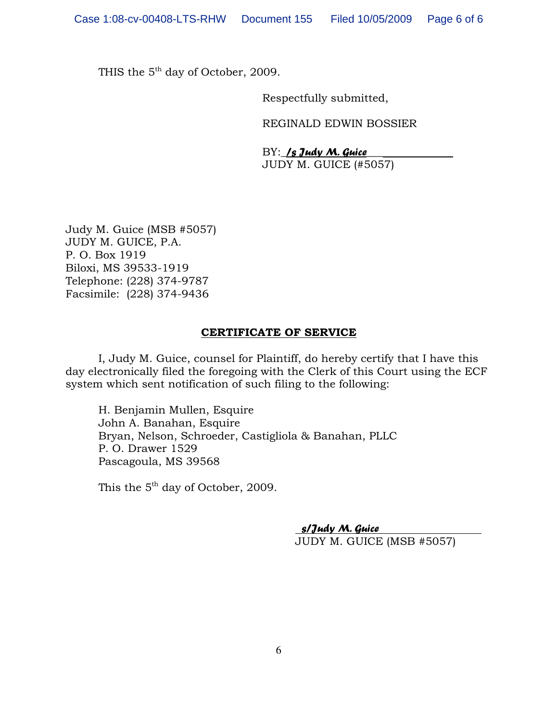THIS the  $5<sup>th</sup>$  day of October, 2009.

Respectfully submitted,

REGINALD EDWIN BOSSIER

 $BY:$  /s Judy M. Guice JUDY M. GUICE (#5057)

Judy M. Guice (MSB #5057) JUDY M. GUICE, P.A. P. O. Box 1919 Biloxi, MS 39533-1919 Telephone: (228) 374-9787 Facsimile: (228) 374-9436

## CERTIFICATE OF SERVICE

I, Judy M. Guice, counsel for Plaintiff, do hereby certify that I have this day electronically filed the foregoing with the Clerk of this Court using the ECF system which sent notification of such filing to the following:

H. Benjamin Mullen, Esquire John A. Banahan, Esquire Bryan, Nelson, Schroeder, Castigliola & Banahan, PLLC P. O. Drawer 1529 Pascagoula, MS 39568

This the  $5<sup>th</sup>$  day of October, 2009.

 s/Judy M. Guice JUDY M. GUICE (MSB #5057)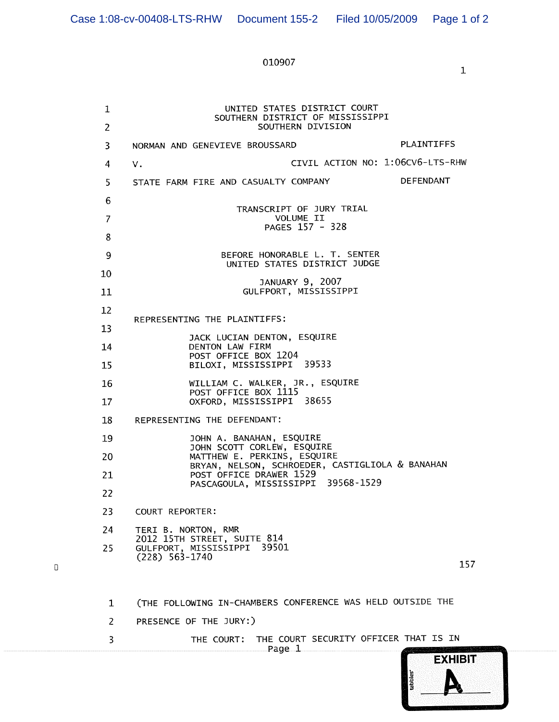# 010907

 $\mathbf 1$ 

| 1<br>2 | UNITED STATES DISTRICT COURT<br>SOUTHERN DISTRICT OF MISSISSIPPI<br>SOUTHERN DIVISION |
|--------|---------------------------------------------------------------------------------------|
| 3      | <b>PLAINTIFFS</b><br>NORMAN AND GENEVIEVE BROUSSARD                                   |
| 4      | CIVIL ACTION NO: 1:06CV6-LTS-RHW<br>ν.                                                |
| 5.     | DEFENDANT<br>STATE FARM FIRE AND CASUALTY COMPANY                                     |
| 6      | TRANSCRIPT OF JURY TRIAL                                                              |
| 7      | VOLUME II<br>PAGES 157 - 328                                                          |
| 8      |                                                                                       |
| 9      | BEFORE HONORABLE L. T. SENTER<br>UNITED STATES DISTRICT JUDGE                         |
| 10     | JANUARY 9, 2007                                                                       |
| 11     | GULFPORT, MISSISSIPPI                                                                 |
| 12     | REPRESENTING THE PLAINTIFFS:                                                          |
| 13     | JACK LUCIAN DENTON, ESQUIRE                                                           |
| 14     | DENTON LAW FIRM<br>POST OFFICE BOX 1204                                               |
| 15     | BILOXI, MISSISSIPPI 39533                                                             |
| 16     | WILLIAM C. WALKER, JR., ESQUIRE<br>POST OFFICE BOX 1115                               |
| 17     | OXFORD, MISSISSIPPI 38655                                                             |
| 18     | REPRESENTING THE DEFENDANT:                                                           |
| 19     | JOHN A. BANAHAN, ESQUIRE<br>JOHN SCOTT CORLEW, ESQUIRE                                |
| 20     | MATTHEW E. PERKINS, ESQUIRE<br>BRYAN, NELSON, SCHROEDER, CASTIGLIOLA & BANAHAN        |
| 21     | POST OFFICE DRAWER 1529<br>PASCAGOULA, MISSISSIPPI 39568-1529                         |
| 22     |                                                                                       |
| 23     | COURT REPORTER:                                                                       |
| 24     | TERI B. NORTON, RMR<br>2012 15TH STREET, SUITE 814                                    |
| 25     | GULFPORT, MISSISSIPPI 39501<br>$(228)$ 563-1740<br>157                                |
|        |                                                                                       |
| 1      | (THE FOLLOWING IN-CHAMBERS CONFERENCE WAS HELD OUTSIDE THE                            |
| 2      | PRESENCE OF THE JURY:)                                                                |
| 3      | THE COURT SECURITY OFFICER THAT IS IN<br>THE COURT:<br>Page 1                         |

 $\begin{array}{c} \square \end{array}$ 

**EXHIBIT** tabbles'